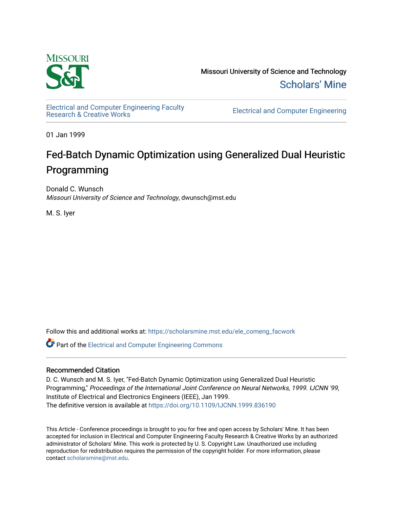

Missouri University of Science and Technology [Scholars' Mine](https://scholarsmine.mst.edu/) 

[Electrical and Computer Engineering Faculty](https://scholarsmine.mst.edu/ele_comeng_facwork)

**Electrical and Computer Engineering** 

01 Jan 1999

# Fed-Batch Dynamic Optimization using Generalized Dual Heuristic Programming

Donald C. Wunsch Missouri University of Science and Technology, dwunsch@mst.edu

M. S. Iyer

Follow this and additional works at: [https://scholarsmine.mst.edu/ele\\_comeng\\_facwork](https://scholarsmine.mst.edu/ele_comeng_facwork?utm_source=scholarsmine.mst.edu%2Fele_comeng_facwork%2F1635&utm_medium=PDF&utm_campaign=PDFCoverPages)

**C** Part of the Electrical and Computer Engineering Commons

# Recommended Citation

D. C. Wunsch and M. S. Iyer, "Fed-Batch Dynamic Optimization using Generalized Dual Heuristic Programming," Proceedings of the International Joint Conference on Neural Networks, 1999. IJCNN '99, Institute of Electrical and Electronics Engineers (IEEE), Jan 1999. The definitive version is available at <https://doi.org/10.1109/IJCNN.1999.836190>

This Article - Conference proceedings is brought to you for free and open access by Scholars' Mine. It has been accepted for inclusion in Electrical and Computer Engineering Faculty Research & Creative Works by an authorized administrator of Scholars' Mine. This work is protected by U. S. Copyright Law. Unauthorized use including reproduction for redistribution requires the permission of the copyright holder. For more information, please contact [scholarsmine@mst.edu](mailto:scholarsmine@mst.edu).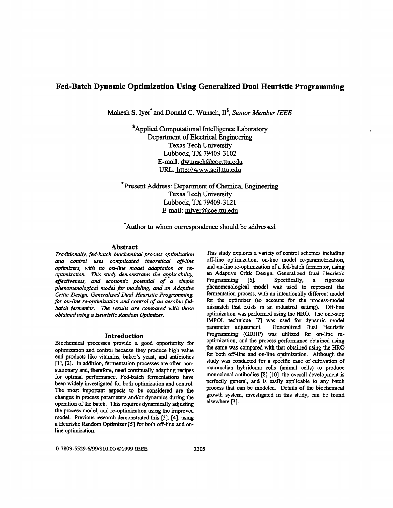# **Fed-Batch Dynamic Optimization Using Generalized Dual Heuristic Programming**

**Mahesh S. Iye; and Donald C. Wunsch, 11',** *Senior Member IEEE* 

**'Applied Computational Intelligence Laboratory Department** of **Electrical Engineering Texas Tech University E-mail: [dwunsch@coe.ttu.edu](mailto:dwunsch@coe.ttu.edu)**  URL: http://www.acil.ttu.edu **Lubbock,** TX **79409-3** 102

\* **Present Address: Department** of **Chemical Engineering Texas Tech University E-mail: [miver@coe.ttu.edu](mailto:miver@coe.ttu.edu) Lubbock,** TX **79409-3** 12 1

**\*Author to whom correspondence should be addressed** 

#### **Abstract**

*Traditionally, fed-batch biochemical process optimization and control* **uses** *complicated theoretical off-line*  optimizers, with no on-line model adaptation or re*optimization. This study demonstrates the applicability, effectiveness, and economic potential of a simple phenomenological model for modeling, and an Adaptive Critic Design, Generalized Dual Heuristic Programming, for on-line re-optimization and control of an aerobic fedbatch fermentor. me results are compared with those obtained using a Heuristic Random Optimizer.* 

### Introduction

Biochemical processes provide a good opportunity for optimization and control because they produce high value end products like vitamins, baker's yeast, **and** antibiotics [l], **[2]. In** addition, fermentation processes are often **non**stationary and, therefore, need continually adapting recipes for optimal performance. Fed-batch fermentations have been widely investigated for both optimization and control. The most important aspects to be considered are the changes in process parameters and/or dynamics during the operation of the batch. **This** requires dynamically adjusting the process model, and re-optimization using the improved model. Previous research demonstrated **this [3], [4],** using a Heuristic Random Optimizer *[5]* for both off-line and **on**line optimization.

This study explores a variety of control schemes including off-line optimization, on-line model re-parametrization, and on-line re-optimization of a fed-batch fermentor, using **an** Adaptive Critic **Design, Generalized** Dual Heuristic Programming *[6].* Specifically, a rigorous phenomenological model was used to represent the fermentation process, with an intentionally different model for the optimizer (to account for **the** process-model mismatch that exists in an industrial setting). Off-line optimization was performed using the HRO. The one-step IMPOL technique **[7]** was used for dynamic model parameter adjustment. Generalized Dual Heuristic Programming (GDHP) was utilized for on-line reoptimization, and the process performance obtained using the same was compared with that obtained using the HRO for both off-line and on-line optimization. Although the study was conducted for a specific case of cultivation of mammalian hybridoma cells (animal cells) to produce monoclonal antibodies [8]-[ lo], the overall development is perfectly general, and is easily applicable to any batch process that *can* be modeled. Details of the biochemical growth system, investigated in this study, can be found elsewhere **[3].**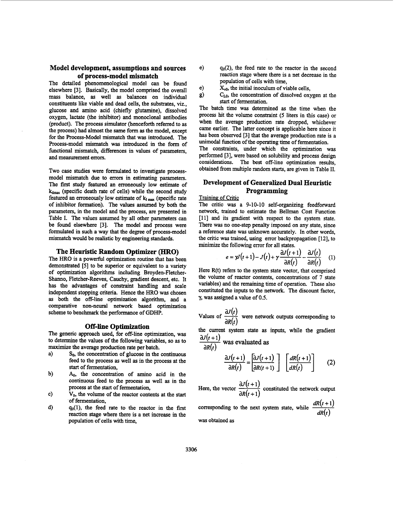# **Model development, assumptions and sources of process-model mismatch**

The detailed phenomenological model can be found elsewhere [3]. Basically, the model comprised the overall mass balance, **as** well **as** balances on individual constituents like viable and dead cells, the substrates, viz., glucose and amino acid (chiefly glutamine), dissolved oxygen, lactate (the inhibitor) and monoclonal antibodies (product). The process simulator (henceforth referred to **as**  the process) had almost the same form **as** the model, except for the Process-Model mismatch that was introduced. The Process-model mismatch was introduced in the form of functional mismatch, differences in values of parameters, and measurement errors.

Two case studies were formulated to investigate processmodel mismatch due to errors in estimating parameters. The first study featured an erroneously low estimate of  $k_{\text{dmax}}$  (specific death rate of cells) while the second study  $k_{\text{dmax}}$  $k_{dmax}$  (specific death rate of cells) while the second study featured an erroneously low estimate of  $k_{I max}$  (specific rate of inhibitor formation). The values assumed by both the parameters, in the model and the process, are presented in Table I. The values assumed by all other parameters *can*  be found elsewhere [3]. The model and process were formulated in such a way that the degree of process-model mismatch would be realistic by engineering **standards.** 

#### **The Heuristic Random Optimizer** *(HRO)*

The HRO is a powerful optimization routine that has been demonstrated *[5]* to be superior or equivalent to a variety of optimization algorithms including Broyden-Fletcher-Shanno, Fletcher-Reeves, Cauchy, gradient descent, etc. It has the advantages of constraint handling and scale independent stopping criteria. Hence the HRO was chosen **as** both the off-line optimization algorithm, and a comparative non-neural network based optimization scheme to benchmark the performance of **GDHP.** 

#### **Off-line Optimization**

The generic approach used, for off-line optimization, was to determine the values of the following variables, so as to maximize the average production rate per batch.

- a)  $S_0$ , the concentration of glucose in the continuous feed to the process as well **as** in the process at the **start** of fermentation,
- b) **A,,** the concentration of amino acid in the continuous feed to the process **as** well **as** in the process at the **start** of fermentation,
- Vo, the volume of the reactor contents at the **start**  of fermentation, c)
- **qo(l),** the feed rate to the reactor in the first reaction stage where there is a net increase in the population *of* cells with time, d)
- e)  $q_0(2)$ , the feed rate to the reactor in the second reaction stage where there is a net decrease in the population of cells with time,
- $X_{v0}$ , the initial inoculum of viable cells,
- g) **C,,** the concentration of dissolved oxygen at the start of fermentation.

The batch time was determined **as** the time when the process hit the volume constraint *(5* liters in this case) or when the average production rate dropped, whichever came earlier. The latter concept is applicable here since it has been observed [3] that the average production rate is a unimodal function of the operating time of fermentation.

The constraints, under which the optimization was performed [3], were based on solubility and process design considerations. The **best** off-line optimization results, obtained from multiple random **starts,** are given in Table 11.

# **Development of Generalized Dual Heuristic Programming**

#### Training of Critic

The critic was a 9-10-10 self-organizing feedforward network, trained to estimate the Bellman Cost Function **[ll]** and its gradient with respect to the system state. There was no one-step penalty imposed on any state, since a reference state was unknown accurately. In other words, the critic was trained, using error backpropagation [12], to minimize the following error for all states. are one-step penalty imposed on any state, since<br>the vas unknown accurately. In other words,<br>state was unknown accurately. In other words,<br>as trained, using error backpropagation [12], to<br>e following error for all states.

$$
e = \gamma J(t+1) - J(t) + \gamma \frac{\partial J(t+1)}{\partial R(t)} - \frac{\partial J(t)}{\partial R(t)} \quad (1)
$$

Here R(t) refers to the system state vector, that comprised the volume of reactor contents, concentrations of 7 state variables) and the remaining time of operation. These also constituted the inputs to the network. The discount factor,  $\gamma$ , was assigned a value of 0.5.<br>Values of  $\frac{\partial J(t)}{\partial R(t)}$  were network outputs corresponding to constituted the inputs to the network. The discount factor, **y,** was assigned a value of 0.5.

Values of 
$$
\frac{\partial J(t)}{\partial R(t)}
$$
 were network outputs corresponding to

the current system state **as** inputs, while the gradient

the current system state as inputs, while the gradient  
\n
$$
\frac{\partial J(t+1)}{\partial R(t)}
$$
 was evaluated as  
\n
$$
\frac{\partial J(t+1)}{\partial R(t)} = \left[\frac{\partial J(t+1)}{\partial R(t+1)}\right] \left[\frac{dR(t+1)}{dR(t)}\right]
$$
(2)  
\nHere, the vector  $\frac{\partial J(t+1)}{\partial R(t+1)}$  constituted the network output  
\ncorresponding to the next system state, while  $\frac{dR(t+1)}{dR(t)}$   
\nwas obtained as

 $\partial R(t+1)$ 

corresponding to the next system state, while  $\frac{dR(t+1)}{dR(t)}$ 

was obtained **as**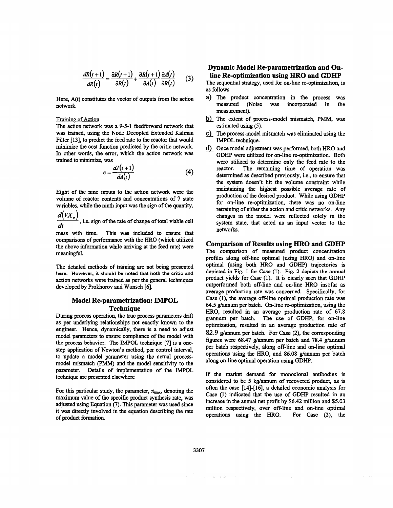$$
\frac{dR(t+1)}{dR(t)} = \frac{\partial R(t+1)}{\partial R(t)} + \frac{\partial R(t+1)}{\partial A(t)} \frac{\partial A(t)}{\partial R(t)}
$$
(3)

Here, A(t) constitutes the vector of outputs from the action network.

#### Training of Action

The action network was a 9-5-1 feedforward network that . was trained, using the Node Decopled Extended Kalman Filter [13], to predict the feed rate to the reactor that would minimize the cost function predicted by the critic network. In other words, the error, which the action network was trained to minimize, was

$$
e = \frac{dJ(t+1)}{dA(t)}
$$
 (4)

Eight of the nine inputs to the action network were the volume of reactor contents and concentrations of 7 state variables, while the ninth input was the sign of the quantity,

 $\frac{d(VX_{\nu})}{dt}$ , i.e. sign of the rate of change of total viable cell

mass with time. This was included to ensure that comparisons of performance with the HRO (which utilized the above information while arriving at the feed rate) were meaningful.

The detailed methods of training are not being presented **here. However, it should be noted that both the critic and**  action networks were trained **as** per the general techniques developed by Prokhorov and Wunsch [6].

## **Model Re-parametrization: IMPOL Technique**

During process operation, the true process parameters **drift as** per underlying relationships not exactly **known** to the engineer. Hence, dynamically, there is a need to adjust model parameters to ensure compliance of the model with the process behavior. The IMPOL technique [7] is a one*step* application of Newton's method, per control interval, to update a model parameter using the actual processmodel mismatch (PMM) and the model sensitivity to the parameter. Details of implementation of the **IMPOL**  technique are presented elsewhere

For this particular study, the parameter,  $\pi_{\text{max}}$ , denoting the maximum value of the specific product synthesis rate, **was**  adjusted using Equation (7). This parameter was used since it was directly involved in the equation describing the rate of product formation.

# **Dynamic Model Re-parametrization and Online Re-optimization using** HRO **and GDHP**

The sequential strategy, used for on-line re-optimization, is **as** follows

- a) The product concentration in the process was measured (Noise was incorporated in the measurement).
- b) The extent of process-model mismatch, PMM, was estimated using (5).
- The process-model mismatch **was** eliminated using the IMPOL technique.
- d) Once model adjustment was performed, both HRO and GDHP were utilized for on-line re-optimization. Both were utilized to determine only the feed rate to the reactor. The remaining time of operation was The remaining time of operation was determined **as** described previously, i.e., to ensure that the system doesn't hit the volume constraint while maintaining the highest possible average rate of production of the desired product. While using GDHP for on-line re-optimization, there was no on-line retraining of either the action and critic networks. Any changes in the model were reflected solely in the system state, that acted as an input vector to the networks.

#### **Comparison of Results using** HRO **and GDHP**

The comparison of measured product concentration profiles along off-line optimal (using HRO) and on-line optimal (using both HRO and GDHP) trajectories is **depicted in Fig. 1 for Case (1). Fig. 2 depicts the annual**  product yields for Case (1). It is clearly seen that GDHP outperformed both off-line and on-line HRO insofar **as**  average production rate was concerned. Specifically, for Case **(l),** the average off-line optimal production rate was 64.5 g/annum per batch. On-line re-optimization, using the HRO, resulted in **an** average production rate of 67.8 g/annum per batch. The use of GDHP, for on-line optimization, resulted in an average production rate of 82.9 g/annum per batch. For Case (2), the corresponding figures were 68.47 g/annum per batch and **78.4** g/annum per batch respectively, along off-line and on-line optimal operations using the HRO, and 86.08 g/annum per batch along on-line optimal operation using GDHP.

If the market demand for monoclonal antibodies is considered to be 5 kg/annum of recovered product, **as** is often the case [14]-[16], a detailed economic analysis for Case (1) indicated that the use of GDHP resulted in an increase in the annual net profit by \$6.42 million and \$5.03 million respectively, over off-line and on-line optimal operations using the HRO. For Case **(2),** the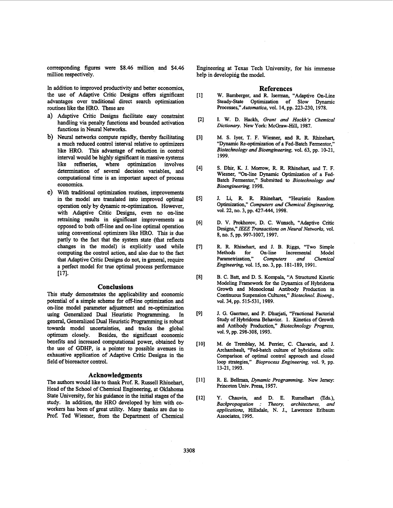corresponding figures were \$8.46 million and \$4.46 million respectively.

**In** addition to improved productivity and better economics, the use of Adaptive Critic Designs offers significant advantages over traditional direct search optimization routines like the HRO. These are

- Adaptive Critic Designs facilitate easy constraint handling via penalty functions and bounded activation functions in Neural Networks.
- b) Neural networks compute rapidly, thereby facilitating a much reduced control interval relative to optimizers like HRO. **This** advantage of reduction **in** control interval would be highly significant in massive systems<br>like refineries, where optimization involves like refineries, where optimization determination of several decision variables, and computational time is an important aspect of process economics.
- With traditional optimization routines, improvements in the model are translated into improved optimal operation only by dynamic re-optimization. However, with Adaptive Critic Designs, even **no** on-line retraining results in significant improvements **as**  opposed to both off-line and on-line optimal operation using conventional optimizers like HRO. This is due partly to the fact that the system state (that reflects changes in the model) is explicitly used while computing the control action, and also due to the fact that Adaptive Critic Designs do not, in general, require a perfect model for true optimal process performance **~71.**

#### **Conclusions**

This study demonstrates the applicability and economic potential of a simple scheme for off-line optimization and on-line model **parameter** adjustment and re-optimization using Generalized Dual Heuristic Programming. **In**  general, Generalized Dual Heuristic Programming is robust towards model uncertainties, and tracks the global optimum closely. Besides, the significant economic benefits and increased computational power, obtained by the use of GDHP, is a pointer to possible avenues in exhaustive application of Adaptive Critic Designs in the field of bioreactor control.

#### **Acknowledgments**

The authors would like to thank Prof. R. Russell Rhinehart, Head of the School of Chemical Engineering, at **Oklahoma**  State University, for his guidance in the initial stages of the study. **In** addition, the HRO developed by him with coworkers **has** been of great utility. Many thanks are due to Prof. Ted Wiesner, from the Department of Chemical Engineering at Texas Tech University, for his immense help in developing the model.

#### **References**

- $[1]$ W. Bamberger, and R. Iserman, "Adaptive On-Line Steady-State Optimization of Slow Dynamic Processes," *Automatica,* vol. 14, pp. 223-230, 1978.
- $[2]$ I. W. D. **Hackh,** *Grant and Hackh's Chemical*  Dictionary. New York: McGraw-Hill, 1987.
- $[3]$ M. **S.** Iyer, T. F. Wiesner, and R R. Rhinehart, "Dynamic Re-optimization of a Fed-Batch Fermentor,'' *Biotechnology and Bioengineering, vol. 63, pp. 10-21,* 1999.
- $[4]$ **S.** Dhir, **IC.** J. Morrow, R R Rhinehart, and T. F. Wiesner, "On-line Dynamic Optimization of a Fed-Batch Fermentor," Submitted to *Biotechnology and Bioengineering,* 1998.
- J. Li, R. R. Rhinehart, "Heuristic Random  $[5]$ Optimization," *Computers and Chemical Engineering,*  vol. 22, **no.** 3, pp. 427-444, 1998.
- $[6]$ D. V. Prokhorov, D. C. Wunsch, "Adaptive Critic Designs," *IEEE Transactions on Neural Network,* vol. 8, **no.** 5, pp. 997-1007, 1997.
- $[7]$ R. R. Rhinehart, and J. B. Riggs, "Two Simple Methods for On-line Incremental Model m-line Incremental Model<br>Computers and Chemical Parametrization," *Engineering, vol.* 15, no. 3, pp. 181-189, 1991.
- $[8]$ B. C. Batt, and D. **S.** Kompala, "A Structured Kinetic Modeling Framework for the Dynamics of Hybridoma Growth and Monoclonal Antibody Production in Continuous **Suspension** Cultures," *Biotechnol. Bioeng.,*  vol. 34, pp. 515-531, 1989.
- $[9]$ J. G. Gaertner, and P. Dhurjati, "Fractional Factorial Study of Hybridoma Behavior. 1. Kinetics of Growth **and** Antibody Production," *Biotechnologv* Progress, vol. 9, pp. 298-308, 1993.
- $[10]$ M. de Tremblay, M. Pemer, C. Chavarie, and J. Archambault, "Fed-batch culture of hybridoma cells: Comparison of optimal control approach and closed loop strategies," *Bioprocess Engineering,* vol. 9, pp. 13-21, 1993.
- $[11]$ R. E. Bellman, *Dynamic Programming*. New Jersey: Princeton Univ. **Press,** 1957.
- $[12]$ **Y.** Chauvin, and D. E. Rumelhart **(Eds.),**  *Backpropagation* : *Theory, architectures, and applications,* Hillsdale, **N.** J., Lawrence Erlbaum Associates, 1995.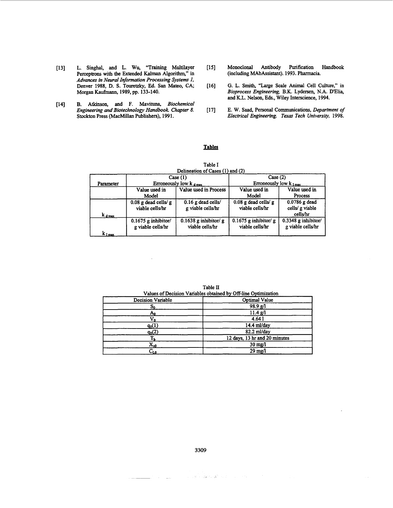- Perceptrons with the Extended Kalman Algorithm," in *Advances in Neural Information Processing Systems I,*  Denver 1988, D. S. Touretzky, Ed. San Mateo, CA; Morgan Kaufmann, 1989, pp. 133-140.
- [14] B. Atkinson, and F. Mavituna, *Biochemical Engineering and Biotechnology Handbook Chapter 8.*  Engineering and Biotechnology Handbook. Chapter 8. [17] Stockton Press (MacMillan Publishers), 1991.
- [13] L. Singhal, and L. Wu, "Training Multilayer [IS] Monoclonal Antibody Purification Handbook (including MAbAssistant). 1993. Pharmacia.
	- G. L. **Smith,** "Large Scale *Animal* Cell Culture," in *Bioprocess Engineering,* B.K. Lydersen, N.A. D'Elia, and K.L. Nelson, Eds., Wiley Interscience, 1994. [16]
	- E. W. **Saad,** Personal Communications, *Department of Electrical Engineering. Taus Tech Universiiy,* 1998. - **Tables**

|                                       |                                            | Delineation of Cases (1) and (2)           |                                             |                                              |
|---------------------------------------|--------------------------------------------|--------------------------------------------|---------------------------------------------|----------------------------------------------|
|                                       | Case $(1)$                                 |                                            | Case (2)                                    |                                              |
| Parameter                             | Erroneously low k dmax                     |                                            | Erroneously low $k_{\text{1 max}}$          |                                              |
|                                       | Value used in<br>Model                     | Value used in Process                      | Value used in<br>Model                      | Value used in<br>Process                     |
|                                       | $0.08$ g dead cells/ g<br>viable cells/hr  | $0.16$ g dead cells/<br>g viable cells/hr  | $0.08$ g dead cells/ $g$<br>viable cells/hr | 0.0786 g dead<br>cells/ g viable<br>cells/hr |
| $k_{\rm d,max}$<br>k <sub>I max</sub> | $0.1675$ g inhibitor/<br>g viable cells/hr | $0.1638$ g inhibitor/ g<br>viable cells/hr | $0.1675$ g inhibitor/ g<br>viable cells/hr  | $0.3348$ g inhibitor/<br>g viable cells/hr   |

Table I

|                                                                | Table II                      |  |  |  |
|----------------------------------------------------------------|-------------------------------|--|--|--|
| Values of Decision Variables obtained by Off-line Optimization |                               |  |  |  |
| Decision Variable                                              | Optimal Value                 |  |  |  |
| s,                                                             | 98.9 g/l                      |  |  |  |
| A٥                                                             | 11.4 g/l                      |  |  |  |
|                                                                | 4.641                         |  |  |  |
| $q_0(1)$                                                       | 14.4 ml/day                   |  |  |  |
| $q_0(2)$                                                       | 82.2 ml/day                   |  |  |  |
|                                                                | 12 days, 13 hr and 20 minutes |  |  |  |
| $\mathbf{x}_{\text{w}}$                                        | $30 \text{ me}/l$             |  |  |  |
| $\mathtt{C_{LO}}$                                              | $29 \text{ mg}/l$             |  |  |  |

Table **II** 

**3309** 

 $\mathcal{B}^{\prime} \leftarrow \mathcal{B} \mathcal{A}^{\prime} \mathcal{B} \mathcal{A}^{\mathcal{B}} \leftarrow \mathcal{B}^{\prime} \leftarrow \mathcal{B}^{\prime} \leftarrow \mathcal{B}^{\prime}$